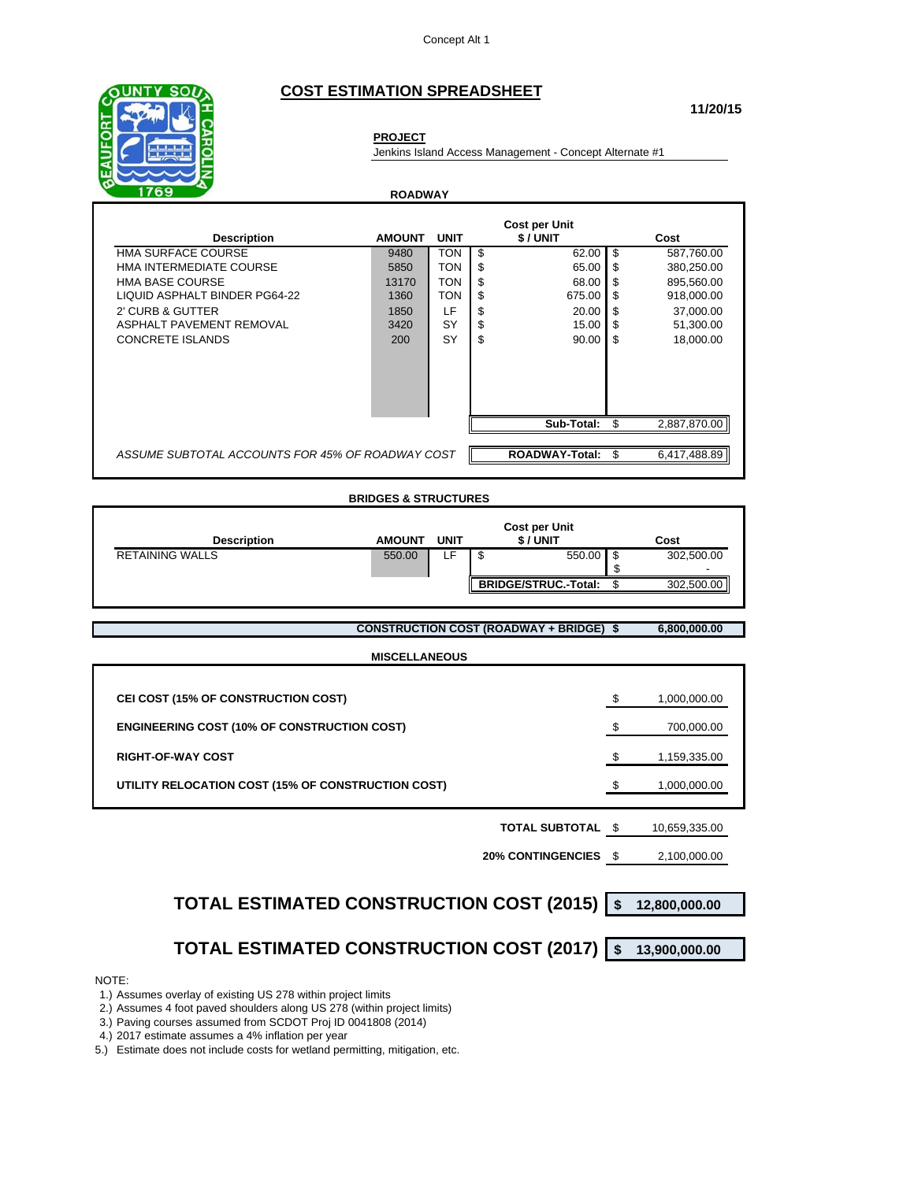### **COST ESTIMATION SPREADSHEET**

**ROADWAY**

**PROJECT**



Jenkins Island Access Management - Concept Alternate #1

**Cost per Unit Description AMOUNT UNIT \$ / UNIT Cost** HMA SURFACE COURSE 62.00 | \$ 0480 | TON | \$ 02.00 | \$ 587,760.00 HMA INTERMEDIATE COURSE 65.00 | TON | \$ 65.00 | \$ 380,250.00 HMA BASE COURSE 13170 | TON  $\frac{1}{3}$  68.00 | \$ 895,560.00 LIQUID ASPHALT BINDER PG64-22 1360 TON \$ 675.00 \$ 918,000.00 2' CURB & GUTTER <br>
1950 LF  $\frac{1850}{3420}$  LF  $\frac{1850}{3420}$  SY  $\frac{1850}{3450}$  37,000.00  $\frac{1850}{34500}$  51,300.00 ASPHALT PAVEMENT REMOVAL 3420 SY S 515.00 S CONCRETE ISLANDS 200 SY \$ 90.00 \$ 18,000.00 **Sub-Total:** \$ 2,887,870.00 *ASSUME SUBTOTAL ACCOUNTS FOR 45% OF ROADWAY COST* **ROADWAY-Total:** \$ 6,417,488.89

#### **BRIDGES & STRUCTURES**

| <b>Description</b><br><b>AMOUNT</b> | <b>UNIT</b> | \$/UNIT                     |        | Cost            |
|-------------------------------------|-------------|-----------------------------|--------|-----------------|
| <b>RETAINING WALLS</b><br>550.00    |             | ◡                           | 550.00 | 302,500.00<br>۰ |
|                                     |             | <b>BRIDGE/STRUC.-Total:</b> |        | 302,500.00      |

**CONSTRUCTION COST (ROADWAY + BRIDGE) \$ 6,800,000.00**

| <b>MISCELLANEOUS</b>                               |    |              |  |  |
|----------------------------------------------------|----|--------------|--|--|
|                                                    |    |              |  |  |
| CEI COST (15% OF CONSTRUCTION COST)                | S  | 1,000,000.00 |  |  |
| <b>ENGINEERING COST (10% OF CONSTRUCTION COST)</b> | £. | 700,000.00   |  |  |
| <b>RIGHT-OF-WAY COST</b>                           | \$ | 1,159,335.00 |  |  |
| UTILITY RELOCATION COST (15% OF CONSTRUCTION COST) |    | 1,000,000.00 |  |  |
|                                                    |    |              |  |  |

### **TOTAL SUBTOTAL** \$ 10,659,335.00

**20% CONTINGENCIES** \$ 2,100,000.00

# **TOTAL ESTIMATED CONSTRUCTION COST (2015) \$ 12,800,000.00**

## **TOTAL ESTIMATED CONSTRUCTION COST (2017) \$ 13,900,000.00**

#### NOTE:

1.) Assumes overlay of existing US 278 within project limits

2.) Assumes 4 foot paved shoulders along US 278 (within project limits)

3.) Paving courses assumed from SCDOT Proj ID 0041808 (2014)

4.) 2017 estimate assumes a 4% inflation per year

5.) Estimate does not include costs for wetland permitting, mitigation, etc.

**11/20/15**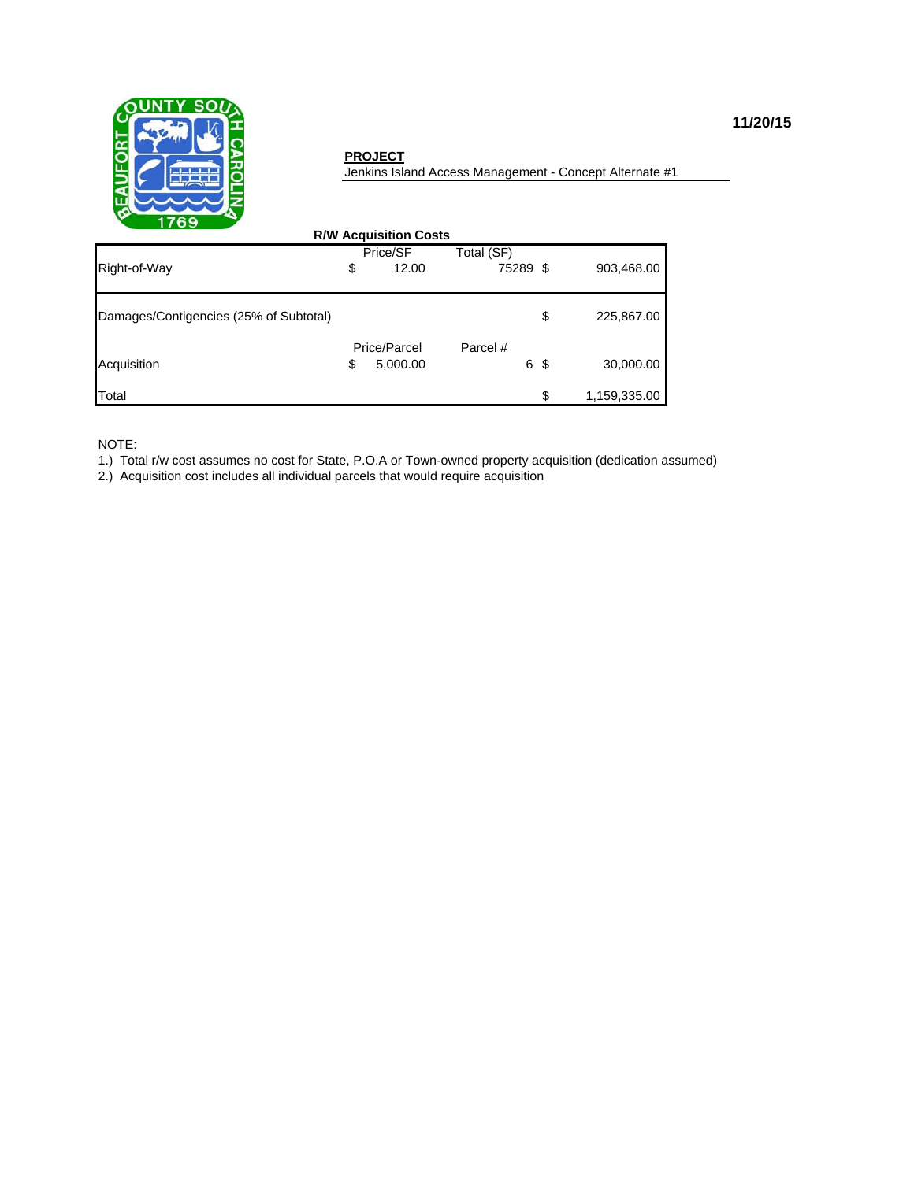

### **PROJECT**

Jenkins Island Access Management - Concept Alternate #1

| <b>R/W Acquisition Costs</b>           |    |                          |               |     |              |  |  |
|----------------------------------------|----|--------------------------|---------------|-----|--------------|--|--|
|                                        |    | Price/SF                 | Total (SF)    |     |              |  |  |
| Right-of-Way                           | \$ | 12.00                    | 75289 \$      |     | 903,468.00   |  |  |
| Damages/Contigencies (25% of Subtotal) |    |                          |               | \$  | 225,867.00   |  |  |
| Acquisition                            | \$ | Price/Parcel<br>5,000.00 | Parcel #<br>6 | -\$ | 30,000.00    |  |  |
| Total                                  |    |                          |               | \$  | 1,159,335.00 |  |  |

NOTE:

1.) Total r/w cost assumes no cost for State, P.O.A or Town-owned property acquisition (dedication assumed)

2.) Acquisition cost includes all individual parcels that would require acquisition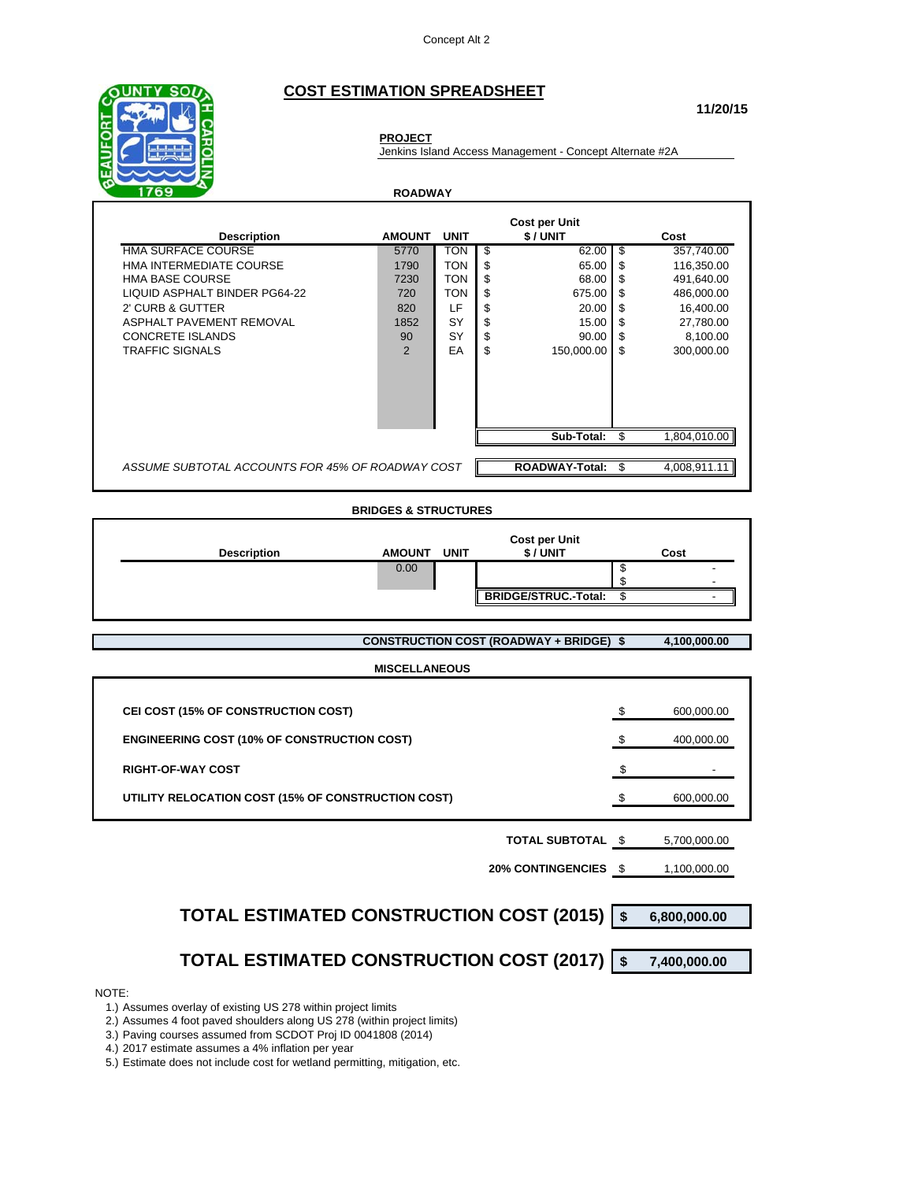### **COST ESTIMATION SPREADSHEET**



# **PROJECT**

Jenkins Island Access Management - Concept Alternate #2A

**ROADWAY**

| <b>Description</b>                               | <b>AMOUNT</b> | <b>UNIT</b> |     | <b>Cost per Unit</b><br>\$/UNIT |      | Cost         |
|--------------------------------------------------|---------------|-------------|-----|---------------------------------|------|--------------|
| <b>HMA SURFACE COURSE</b>                        | 5770          | TON         | \$. | 62.00                           | - \$ | 357,740.00   |
| HMA INTERMEDIATE COURSE                          | 1790          | <b>TON</b>  | \$  | 65.00                           | \$   | 116.350.00   |
| <b>HMA BASE COURSE</b>                           | 7230          | <b>TON</b>  | \$  | 68.00                           | - \$ | 491,640.00   |
| LIQUID ASPHALT BINDER PG64-22                    | 720           | <b>TON</b>  | \$  | 675.00                          | -\$  | 486,000.00   |
| 2' CURB & GUTTER                                 | 820           | LF          | \$  | 20.00                           | - \$ | 16,400.00    |
| ASPHALT PAVEMENT REMOVAL                         | 1852          | SY          | \$  | 15.00                           | - \$ | 27,780.00    |
| <b>CONCRETE ISLANDS</b>                          | 90            | SY          | \$  | 90.00                           | \$   | 8,100.00     |
| <b>TRAFFIC SIGNALS</b>                           | 2             | ЕA          | \$  | 150,000.00                      | -\$  | 300,000.00   |
|                                                  |               |             |     |                                 |      |              |
|                                                  |               |             |     | Sub-Total:                      |      | 1.804.010.00 |
| ASSUME SUBTOTAL ACCOUNTS FOR 45% OF ROADWAY COST |               |             |     | <b>ROADWAY-Total:</b>           | \$   | 4,008,911.11 |

#### **BRIDGES & STRUCTURES**

| <b>Description</b> | <b>AMOUNT</b> | <b>UNIT</b> | <b>Cost per Unit</b><br>\$/UNIT | Cost |  |
|--------------------|---------------|-------------|---------------------------------|------|--|
|                    | 0.00          |             |                                 |      |  |
|                    |               |             |                                 |      |  |
|                    |               |             | <b>BRIDGE/STRUC.-Total:</b>     |      |  |

**CONSTRUCTION COST (ROADWAY + BRIDGE) \$ 4,100,000.00**

#### **MISCELLANEOUS**

| CEI COST (15% OF CONSTRUCTION COST)                | 600,000.00 |
|----------------------------------------------------|------------|
| <b>ENGINEERING COST (10% OF CONSTRUCTION COST)</b> | 400,000.00 |
| <b>RIGHT-OF-WAY COST</b>                           |            |
| UTILITY RELOCATION COST (15% OF CONSTRUCTION COST) | 600,000.00 |
|                                                    |            |

#### **TOTAL SUBTOTAL \$** 5,700,000.00

**20% CONTINGENCIES** \$ 1,100,000.00

| TOTAL ESTIMATED CONSTRUCTION COST (2015) \$ 6,800,000.00 |  |
|----------------------------------------------------------|--|

## **TOTAL ESTIMATED CONSTRUCTION COST (2017) \$ 7,400,000.00**

NOTE:

1.) Assumes overlay of existing US 278 within project limits

2.) Assumes 4 foot paved shoulders along US 278 (within project limits)

3.) Paving courses assumed from SCDOT Proj ID 0041808 (2014)

4.) 2017 estimate assumes a 4% inflation per year

5.) Estimate does not include cost for wetland permitting, mitigation, etc.